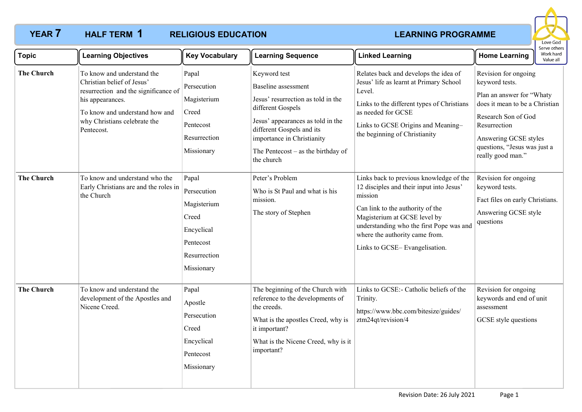# HALF TERM 1

## **YEAR 7 LEARNING PROGRAMME HALF TERM RELIGIOUS EDUCATION**



| <b>Topic</b>      | <b>Learning Objectives</b>                                                                                                                                                                           | <b>Key Vocabulary</b>                                                                                 | <b>Learning Sequence</b>                                                                                                                                                                                                                             | <b>Linked Learning</b>                                                                                                                                                                                                                                                            | <b>Home Learning</b>                                                                                                                                                                                                       | Work hard<br>Value all |
|-------------------|------------------------------------------------------------------------------------------------------------------------------------------------------------------------------------------------------|-------------------------------------------------------------------------------------------------------|------------------------------------------------------------------------------------------------------------------------------------------------------------------------------------------------------------------------------------------------------|-----------------------------------------------------------------------------------------------------------------------------------------------------------------------------------------------------------------------------------------------------------------------------------|----------------------------------------------------------------------------------------------------------------------------------------------------------------------------------------------------------------------------|------------------------|
| <b>The Church</b> | To know and understand the<br>Christian belief of Jesus'<br>resurrection and the significance of<br>his appearances.<br>To know and understand how and<br>why Christians celebrate the<br>Pentecost. | Papal<br>Persecution<br>Magisterium<br>Creed<br>Pentecost<br>Resurrection<br>Missionary               | Keyword test<br>Baseline assessment<br>Jesus' resurrection as told in the<br>different Gospels<br>Jesus' appearances as told in the<br>different Gospels and its<br>importance in Christianity<br>The Pentecost $-$ as the birthday of<br>the church | Relates back and develops the idea of<br>Jesus' life as learnt at Primary School<br>Level.<br>Links to the different types of Christians<br>as needed for GCSE<br>Links to GCSE Origins and Meaning-<br>the beginning of Christianity                                             | Revision for ongoing<br>keyword tests.<br>Plan an answer for "Whaty<br>does it mean to be a Christian<br>Research Son of God<br>Resurrection<br>Answering GCSE styles<br>questions, "Jesus was just a<br>really good man." |                        |
| <b>The Church</b> | To know and understand who the<br>Early Christians are and the roles in<br>the Church                                                                                                                | Papal<br>Persecution<br>Magisterium<br>Creed<br>Encyclical<br>Pentecost<br>Resurrection<br>Missionary | Peter's Problem<br>Who is St Paul and what is his<br>mission.<br>The story of Stephen                                                                                                                                                                | Links back to previous knowledge of the<br>12 disciples and their input into Jesus'<br>mission<br>Can link to the authority of the<br>Magisterium at GCSE level by<br>understanding who the first Pope was and<br>where the authority came from.<br>Links to GCSE-Evangelisation. | Revision for ongoing<br>keyword tests.<br>Fact files on early Christians.<br>Answering GCSE style<br>questions                                                                                                             |                        |
| <b>The Church</b> | To know and understand the<br>development of the Apostles and<br>Nicene Creed.                                                                                                                       | Papal<br>Apostle<br>Persecution<br>Creed<br>Encyclical<br>Pentecost<br>Missionary                     | The beginning of the Church with<br>reference to the developments of<br>the creeds.<br>What is the apostles Creed, why is<br>it important?<br>What is the Nicene Creed, why is it<br>important?                                                      | Links to GCSE:- Catholic beliefs of the<br>Trinity.<br>https://www.bbc.com/bitesize/guides/<br>ztm24qt/revision/4                                                                                                                                                                 | Revision for ongoing<br>keywords and end of unit<br>assessment<br>GCSE style questions                                                                                                                                     |                        |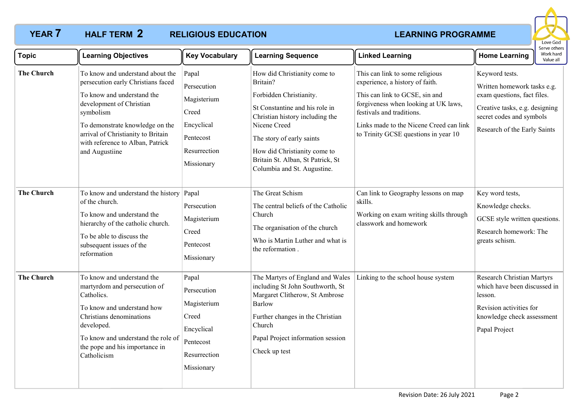# **YEAR 7 LEARNING PROGRAMME HALF TERM 2 RELIGIOUS EDUCATION**



| <b>Topic</b>      | <b>Learning Objectives</b>                                                                                                                                                                                                                                                   | <b>Key Vocabulary</b>                                                                                 | <b>Learning Sequence</b>                                                                                                                                                                                                                                                                  | <b>Linked Learning</b>                                                                                                                                                                                                                                       | <b>Home Learning</b>                                                                                                                                                       | Work hard<br>Value all |
|-------------------|------------------------------------------------------------------------------------------------------------------------------------------------------------------------------------------------------------------------------------------------------------------------------|-------------------------------------------------------------------------------------------------------|-------------------------------------------------------------------------------------------------------------------------------------------------------------------------------------------------------------------------------------------------------------------------------------------|--------------------------------------------------------------------------------------------------------------------------------------------------------------------------------------------------------------------------------------------------------------|----------------------------------------------------------------------------------------------------------------------------------------------------------------------------|------------------------|
| <b>The Church</b> | To know and understand about the<br>persecution early Christians faced<br>To know and understand the<br>development of Christian<br>symbolism<br>To demonstrate knowledge on the<br>arrival of Christianity to Britain<br>with reference to Alban, Patrick<br>and Augustiine | Papal<br>Persecution<br>Magisterium<br>Creed<br>Encyclical<br>Pentecost<br>Resurrection<br>Missionary | How did Christianity come to<br>Britain?<br>Forbidden Christianity.<br>St Constantine and his role in<br>Christian history including the<br>Nicene Creed<br>The story of early saints<br>How did Christianity come to<br>Britain St. Alban, St Patrick, St<br>Columbia and St. Augustine. | This can link to some religious<br>experience, a history of faith.<br>This can link to GCSE, sin and<br>forgiveness when looking at UK laws,<br>festivals and traditions.<br>Links made to the Nicene Creed can link<br>to Trinity GCSE questions in year 10 | Keyword tests.<br>Written homework tasks e.g.<br>exam questions, fact files.<br>Creative tasks, e.g. designing<br>secret codes and symbols<br>Research of the Early Saints |                        |
| <b>The Church</b> | To know and understand the history<br>of the church.<br>To know and understand the<br>hierarchy of the catholic church.<br>To be able to discuss the<br>subsequent issues of the<br>reformation                                                                              | Papal<br>Persecution<br>Magisterium<br>Creed<br>Pentecost<br>Missionary                               | The Great Schism<br>The central beliefs of the Catholic<br>Church<br>The organisation of the church<br>Who is Martin Luther and what is<br>the reformation.                                                                                                                               | Can link to Geography lessons on map<br>skills.<br>Working on exam writing skills through<br>classwork and homework                                                                                                                                          | Key word tests,<br>Knowledge checks.<br>GCSE style written questions.<br>Research homework: The<br>greats schism.                                                          |                        |
| <b>The Church</b> | To know and understand the<br>martyrdom and persecution of<br>Catholics.<br>To know and understand how<br>Christians denominations<br>developed.<br>To know and understand the role of<br>the pope and his importance in<br>Catholicism                                      | Papal<br>Persecution<br>Magisterium<br>Creed<br>Encyclical<br>Pentecost<br>Resurrection<br>Missionary | The Martyrs of England and Wales<br>including St John Southworth, St<br>Margaret Clitherow, St Ambrose<br><b>Barlow</b><br>Further changes in the Christian<br>Church<br>Papal Project information session<br>Check up test                                                               | Linking to the school house system                                                                                                                                                                                                                           | Research Christian Martyrs<br>which have been discussed in<br>lesson.<br>Revision activities for<br>knowledge check assessment<br>Papal Project                            |                        |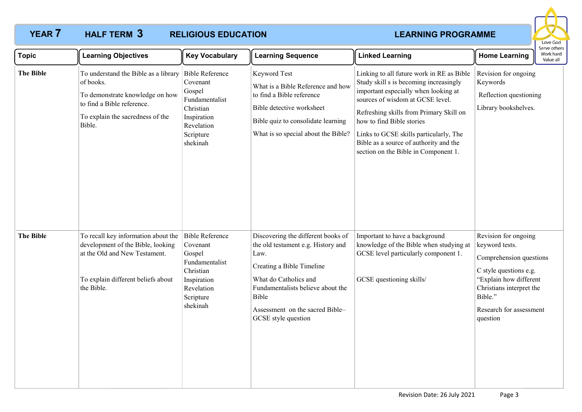## **YEAR 7 LEARNING PROGRAMME HALF TERM RELIGIOUS EDUCATION** HALF TERM 3



| <b>Topic</b>     | <b>Learning Objectives</b>                                                                                                                                       | <b>Key Vocabulary</b>                                                                                                             | <b>Learning Sequence</b>                                                                                                                                                                                                                       | <b>Linked Learning</b>                                                                                                                                                                                                                                                                                                                                              | <b>Home Learning</b>                                                                                                                                                                                | serve others<br>Work hard<br>Value all |
|------------------|------------------------------------------------------------------------------------------------------------------------------------------------------------------|-----------------------------------------------------------------------------------------------------------------------------------|------------------------------------------------------------------------------------------------------------------------------------------------------------------------------------------------------------------------------------------------|---------------------------------------------------------------------------------------------------------------------------------------------------------------------------------------------------------------------------------------------------------------------------------------------------------------------------------------------------------------------|-----------------------------------------------------------------------------------------------------------------------------------------------------------------------------------------------------|----------------------------------------|
| <b>The Bible</b> | To understand the Bible as a library<br>of books.<br>To demonstrate knowledge on how<br>to find a Bible reference.<br>To explain the sacredness of the<br>Bible. | <b>Bible Reference</b><br>Covenant<br>Gospel<br>Fundamentalist<br>Christian<br>Inspiration<br>Revelation<br>Scripture<br>shekinah | Keyword Test<br>What is a Bible Reference and how<br>to find a Bible reference<br>Bible detective worksheet<br>Bible quiz to consolidate learning<br>What is so special about the Bible?                                                       | Linking to all future work in RE as Bible<br>Study skill s is becoming increasingly<br>important especially when looking at<br>sources of wisdom at GCSE level.<br>Refreshing skills from Primary Skill on<br>how to find Bible stories<br>Links to GCSE skills particularly, The<br>Bible as a source of authority and the<br>section on the Bible in Component 1. | Revision for ongoing<br>Keywords<br>Reflection questioning<br>Library bookshelves.                                                                                                                  |                                        |
| <b>The Bible</b> | To recall key information about the<br>development of the Bible, looking<br>at the Old and New Testament.<br>To explain different beliefs about<br>the Bible.    | <b>Bible Reference</b><br>Covenant<br>Gospel<br>Fundamentalist<br>Christian<br>Inspiration<br>Revelation<br>Scripture<br>shekinah | Discovering the different books of<br>the old testament e.g. History and<br>Law.<br>Creating a Bible Timeline<br>What do Catholics and<br>Fundamentalists believe about the<br>Bible<br>Assessment on the sacred Bible-<br>GCSE style question | Important to have a background<br>knowledge of the Bible when studying at<br>GCSE level particularly component 1.<br>GCSE questioning skills/                                                                                                                                                                                                                       | Revision for ongoing<br>keyword tests.<br>Comprehension questions<br>C style questions e.g.<br>"Explain how different<br>Christians interpret the<br>Bible."<br>Research for assessment<br>question |                                        |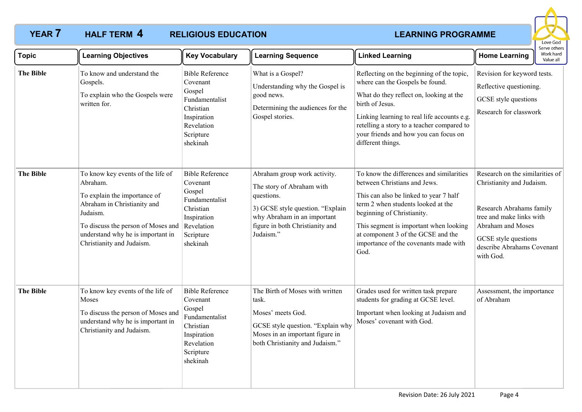### **YEAR 7 HALF TERM 4 RELIGIOUS EDUCATION** *LEARNING PROGRAMME* **RELIGIOUS EDUCATION HALF TERM 4**



| Topic            | <b>Learning Objectives</b>                                                                                                                                                                                                       | <b>Key Vocabulary</b>                                                                                                             | <b>Learning Sequence</b>                                                                                                                                                                   | <b>Linked Learning</b>                                                                                                                                                                                                                                                                                                  | <b>Home Learning</b>                                                                                                                                                                                         | וסטו שכן עכ<br>Work hard<br>Value all |
|------------------|----------------------------------------------------------------------------------------------------------------------------------------------------------------------------------------------------------------------------------|-----------------------------------------------------------------------------------------------------------------------------------|--------------------------------------------------------------------------------------------------------------------------------------------------------------------------------------------|-------------------------------------------------------------------------------------------------------------------------------------------------------------------------------------------------------------------------------------------------------------------------------------------------------------------------|--------------------------------------------------------------------------------------------------------------------------------------------------------------------------------------------------------------|---------------------------------------|
| <b>The Bible</b> | To know and understand the<br>Gospels.<br>To explain who the Gospels were<br>written for.                                                                                                                                        | <b>Bible Reference</b><br>Covenant<br>Gospel<br>Fundamentalist<br>Christian<br>Inspiration<br>Revelation<br>Scripture<br>shekinah | What is a Gospel?<br>Understanding why the Gospel is<br>good news.<br>Determining the audiences for the<br>Gospel stories.                                                                 | Reflecting on the beginning of the topic,<br>where can the Gospels be found.<br>What do they reflect on, looking at the<br>birth of Jesus.<br>Linking learning to real life accounts e.g.<br>retelling a story to a teacher compared to<br>your friends and how you can focus on<br>different things.                   | Revision for keyword tests.<br>Reflective questioning.<br>GCSE style questions<br>Research for classwork                                                                                                     |                                       |
| <b>The Bible</b> | To know key events of the life of<br>Abraham.<br>To explain the importance of<br>Abraham in Christianity and<br>Judaism.<br>To discuss the person of Moses and<br>understand why he is important in<br>Christianity and Judaism. | <b>Bible Reference</b><br>Covenant<br>Gospel<br>Fundamentalist<br>Christian<br>Inspiration<br>Revelation<br>Scripture<br>shekinah | Abraham group work activity.<br>The story of Abraham with<br>questions.<br>3) GCSE style question. "Explain<br>why Abraham in an important<br>figure in both Christianity and<br>Judaism." | To know the differences and similarities<br>between Christians and Jews.<br>This can also be linked to year 7 half<br>term 2 when students looked at the<br>beginning of Christianity.<br>This segment is important when looking<br>at component 3 of the GCSE and the<br>importance of the covenants made with<br>God. | Research on the similarities of<br>Christianity and Judaism.<br>Research Abrahams family<br>tree and make links with<br>Abraham and Moses<br>GCSE style questions<br>describe Abrahams Covenant<br>with God. |                                       |
| <b>The Bible</b> | To know key events of the life of<br>Moses<br>To discuss the person of Moses and<br>understand why he is important in<br>Christianity and Judaism.                                                                               | <b>Bible Reference</b><br>Covenant<br>Gospel<br>Fundamentalist<br>Christian<br>Inspiration<br>Revelation<br>Scripture<br>shekinah | The Birth of Moses with written<br>task.<br>Moses' meets God.<br>GCSE style question. "Explain why<br>Moses in an important figure in<br>both Christianity and Judaism."                   | Grades used for written task prepare<br>students for grading at GCSE level.<br>Important when looking at Judaism and<br>Moses' covenant with God.                                                                                                                                                                       | Assessment, the importance<br>of Abraham                                                                                                                                                                     |                                       |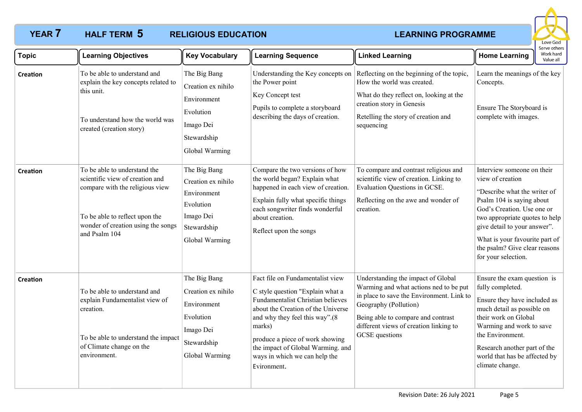## **YEAR 7 LEARNING PROGRAMME HALF TERM RELIGIOUS EDUCATION HALF TERM 5**



| <b>Topic</b>    | <b>Learning Objectives</b>                                                                                                                                                                  | <b>Key Vocabulary</b>                                                                                        | <b>Learning Sequence</b>                                                                                                                                                                                                                                                                                            | <b>Linked Learning</b>                                                                                                                                                                                                                                      | <b>Home Learning</b>                                                                                                                                                                                                                                                                                  | Serve others<br>Work hard<br>Value all |
|-----------------|---------------------------------------------------------------------------------------------------------------------------------------------------------------------------------------------|--------------------------------------------------------------------------------------------------------------|---------------------------------------------------------------------------------------------------------------------------------------------------------------------------------------------------------------------------------------------------------------------------------------------------------------------|-------------------------------------------------------------------------------------------------------------------------------------------------------------------------------------------------------------------------------------------------------------|-------------------------------------------------------------------------------------------------------------------------------------------------------------------------------------------------------------------------------------------------------------------------------------------------------|----------------------------------------|
| <b>Creation</b> | To be able to understand and<br>explain the key concepts related to<br>this unit.<br>To understand how the world was<br>created (creation story)                                            | The Big Bang<br>Creation ex nihilo<br>Environment<br>Evolution<br>Imago Dei<br>Stewardship<br>Global Warming | Understanding the Key concepts on<br>the Power point<br>Key Concept test<br>Pupils to complete a storyboard<br>describing the days of creation.                                                                                                                                                                     | Reflecting on the beginning of the topic,<br>How the world was created.<br>What do they reflect on, looking at the<br>creation story in Genesis<br>Retelling the story of creation and<br>sequencing                                                        | Learn the meanings of the key<br>Concepts.<br>Ensure The Storyboard is<br>complete with images.                                                                                                                                                                                                       |                                        |
| <b>Creation</b> | To be able to understand the<br>scientific view of creation and<br>compare with the religious view<br>To be able to reflect upon the<br>wonder of creation using the songs<br>and Psalm 104 | The Big Bang<br>Creation ex nihilo<br>Environment<br>Evolution<br>Imago Dei<br>Stewardship<br>Global Warming | Compare the two versions of how<br>the world began? Explain what<br>happened in each view of creation.<br>Explain fully what specific things<br>each songwriter finds wonderful<br>about creation.<br>Reflect upon the songs                                                                                        | To compare and contrast religious and<br>scientific view of creation. Linking to<br>Evaluation Questions in GCSE.<br>Reflecting on the awe and wonder of<br>creation.                                                                                       | Interview someone on their<br>view of creation<br>"Describe what the writer of<br>Psalm 104 is saying about<br>God's Creation. Use one or<br>two appropriate quotes to help<br>give detail to your answer".<br>What is your favourite part of<br>the psalm? Give clear reasons<br>for your selection. |                                        |
| Creation        | To be able to understand and<br>explain Fundamentalist view of<br>creation.<br>To be able to understand the impact<br>of Climate change on the<br>environment.                              | The Big Bang<br>Creation ex nihilo<br>Environment<br>Evolution<br>Imago Dei<br>Stewardship<br>Global Warming | Fact file on Fundamentalist view<br>C style question "Explain what a<br>Fundamentalist Christian believes<br>about the Creation of the Universe<br>and why they feel this way".(8<br>marks)<br>produce a piece of work showing<br>the impact of Global Warming. and<br>ways in which we can help the<br>Evironment. | Understanding the impact of Global<br>Warming and what actions ned to be put<br>in place to save the Environment. Link to<br>Geography (Pollution)<br>Being able to compare and contrast<br>different views of creation linking to<br><b>GCSE</b> questions | Ensure the exam question is<br>fully completed.<br>Ensure they have included as<br>much detail as possible on<br>their work on Global<br>Warming and work to save<br>the Environment.<br>Research another part of the<br>world that has be affected by<br>climate change.                             |                                        |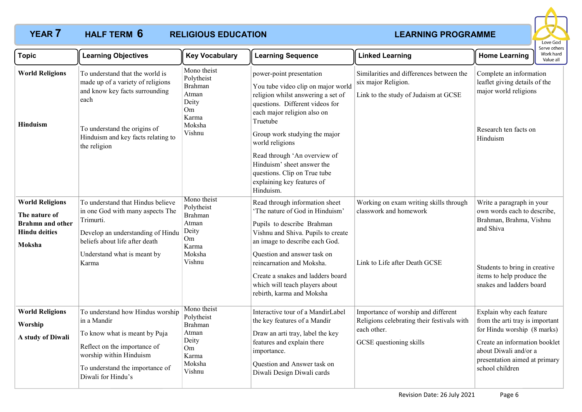## **YEAR 7 LEARNING PROGRAMME HALF TERM RELIGIOUS EDUCATION HALF TERM 6**



| <b>Topic</b>                                                                                         | <b>Learning Objectives</b>                                                                                                                                                                           | <b>Key Vocabulary</b>                                                                            | <b>Learning Sequence</b>                                                                                                                                                                                                                                                                                                                                                        | <b>Linked Learning</b>                                                                                                      | <b>Home Learning</b>                                                                                                                                                                                     | serve other:<br>Work hard<br>Value all |
|------------------------------------------------------------------------------------------------------|------------------------------------------------------------------------------------------------------------------------------------------------------------------------------------------------------|--------------------------------------------------------------------------------------------------|---------------------------------------------------------------------------------------------------------------------------------------------------------------------------------------------------------------------------------------------------------------------------------------------------------------------------------------------------------------------------------|-----------------------------------------------------------------------------------------------------------------------------|----------------------------------------------------------------------------------------------------------------------------------------------------------------------------------------------------------|----------------------------------------|
| <b>World Religions</b><br>Hinduism                                                                   | To understand that the world is<br>made up of a variety of religions<br>and know key facts surrounding<br>each<br>To understand the origins of<br>Hinduism and key facts relating to<br>the religion | Mono theist<br>Polytheist<br><b>Brahman</b><br>Atman<br>Deity<br>Om<br>Karma<br>Moksha<br>Vishnu | power-point presentation<br>You tube video clip on major world<br>religion whilst answering a set of<br>questions. Different videos for<br>each major religion also on<br>Truetube<br>Group work studying the major<br>world religions<br>Read through 'An overview of<br>Hinduism' sheet answer the<br>questions. Clip on True tube<br>explaining key features of<br>Hinduism. | Similarities and differences between the<br>six major Religion.<br>Link to the study of Judaism at GCSE                     | Complete an information<br>leaflet giving details of the<br>major world religions<br>Research ten facts on<br>Hinduism                                                                                   |                                        |
| <b>World Religions</b><br>The nature of<br><b>Brahmn</b> and other<br><b>Hindu deities</b><br>Moksha | To understand that Hindus believe<br>in one God with many aspects The<br>Trimurti.<br>Develop an understanding of Hindu<br>beliefs about life after death<br>Understand what is meant by<br>Karma    | Mono theist<br>Polytheist<br>Brahman<br>Atman<br>Deity<br>Om<br>Karma<br>Moksha<br>Vishnu        | Read through information sheet<br>'The nature of God in Hinduism'<br>Pupils to describe Brahman<br>Vishnu and Shiva. Pupils to create<br>an image to describe each God.<br>Question and answer task on<br>reincarnation and Moksha.<br>Create a snakes and ladders board<br>which will teach players about<br>rebirth, karma and Moksha                                         | Working on exam writing skills through<br>classwork and homework<br>Link to Life after Death GCSE                           | Write a paragraph in your<br>own words each to describe,<br>Brahman, Brahma, Vishnu<br>and Shiva<br>Students to bring in creative<br>items to help produce the<br>snakes and ladders board               |                                        |
| <b>World Religions</b><br>Worship<br>A study of Diwali                                               | To understand how Hindus worship<br>in a Mandir<br>To know what is meant by Puja<br>Reflect on the importance of<br>worship within Hinduism<br>To understand the importance of<br>Diwali for Hindu's | Mono theist<br>Polytheist<br><b>Brahman</b><br>Atman<br>Deity<br>Om<br>Karma<br>Moksha<br>Vishnu | Interactive tour of a MandirLabel<br>the key features of a Mandir<br>Draw an arti tray, label the key<br>features and explain there<br>importance.<br>Question and Answer task on<br>Diwali Design Diwali cards                                                                                                                                                                 | Importance of worship and different<br>Religions celebrating their festivals with<br>each other.<br>GCSE questioning skills | Explain why each feature<br>from the arti tray is important<br>for Hindu worship (8 marks)<br>Create an information booklet<br>about Diwali and/or a<br>presentation aimed at primary<br>school children |                                        |